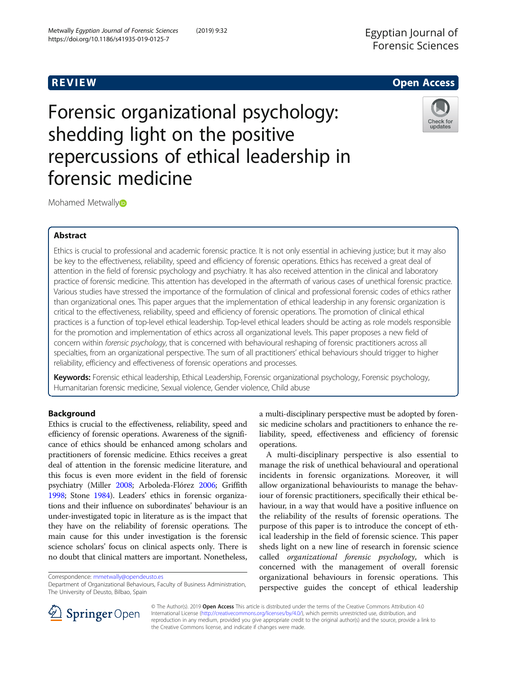# Egyptian Journal of

R EVI EW Open Access

# Forensic organizational psychology: shedding light on the positive repercussions of ethical leadership in forensic medicine



Mohamed Metwall[y](http://orcid.org/0000-0002-1979-8441)<sup>®</sup>

# Abstract

Ethics is crucial to professional and academic forensic practice. It is not only essential in achieving justice; but it may also be key to the effectiveness, reliability, speed and efficiency of forensic operations. Ethics has received a great deal of attention in the field of forensic psychology and psychiatry. It has also received attention in the clinical and laboratory practice of forensic medicine. This attention has developed in the aftermath of various cases of unethical forensic practice. Various studies have stressed the importance of the formulation of clinical and professional forensic codes of ethics rather than organizational ones. This paper argues that the implementation of ethical leadership in any forensic organization is critical to the effectiveness, reliability, speed and efficiency of forensic operations. The promotion of clinical ethical practices is a function of top-level ethical leadership. Top-level ethical leaders should be acting as role models responsible for the promotion and implementation of ethics across all organizational levels. This paper proposes a new field of concern within forensic psychology, that is concerned with behavioural reshaping of forensic practitioners across all specialties, from an organizational perspective. The sum of all practitioners' ethical behaviours should trigger to higher reliability, efficiency and effectiveness of forensic operations and processes.

Keywords: Forensic ethical leadership, Ethical Leadership, Forensic organizational psychology, Forensic psychology, Humanitarian forensic medicine, Sexual violence, Gender violence, Child abuse

## Background

Ethics is crucial to the effectiveness, reliability, speed and efficiency of forensic operations. Awareness of the significance of ethics should be enhanced among scholars and practitioners of forensic medicine. Ethics receives a great deal of attention in the forensic medicine literature, and this focus is even more evident in the field of forensic psychiatry (Miller [2008](#page-6-0); Arboleda-Flórez [2006](#page-6-0); Griffith [1998;](#page-6-0) Stone [1984](#page-7-0)). Leaders' ethics in forensic organizations and their influence on subordinates' behaviour is an under-investigated topic in literature as is the impact that they have on the reliability of forensic operations. The main cause for this under investigation is the forensic science scholars' focus on clinical aspects only. There is no doubt that clinical matters are important. Nonetheless,

Correspondence: [mmetwally@opendeusto.es](mailto:mmetwally@opendeusto.es)

Department of Organizational Behaviours, Faculty of Business Administration, The University of Deusto, Bilbao, Spain

a multi-disciplinary perspective must be adopted by forensic medicine scholars and practitioners to enhance the reliability, speed, effectiveness and efficiency of forensic operations.

A multi-disciplinary perspective is also essential to manage the risk of unethical behavioural and operational incidents in forensic organizations. Moreover, it will allow organizational behaviourists to manage the behaviour of forensic practitioners, specifically their ethical behaviour, in a way that would have a positive influence on the reliability of the results of forensic operations. The purpose of this paper is to introduce the concept of ethical leadership in the field of forensic science. This paper sheds light on a new line of research in forensic science called organizational forensic psychology, which is concerned with the management of overall forensic organizational behaviours in forensic operations. This perspective guides the concept of ethical leadership



© The Author(s). 2019 Open Access This article is distributed under the terms of the Creative Commons Attribution 4.0 International License ([http://creativecommons.org/licenses/by/4.0/\)](http://creativecommons.org/licenses/by/4.0/), which permits unrestricted use, distribution, and reproduction in any medium, provided you give appropriate credit to the original author(s) and the source, provide a link to the Creative Commons license, and indicate if changes were made.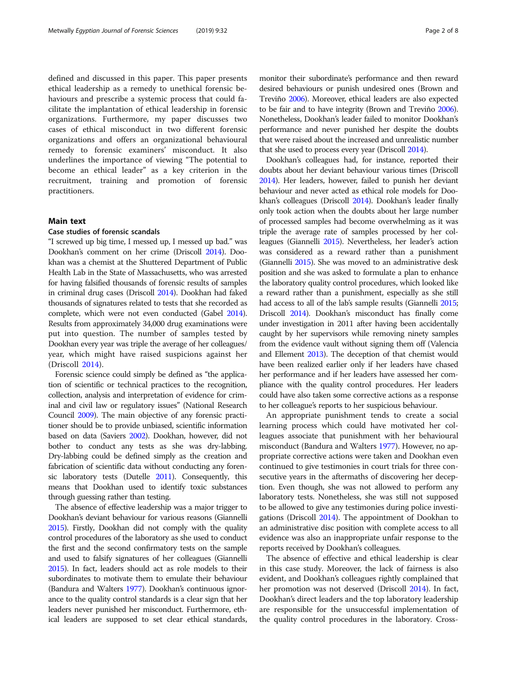defined and discussed in this paper. This paper presents ethical leadership as a remedy to unethical forensic behaviours and prescribe a systemic process that could facilitate the implantation of ethical leadership in forensic organizations. Furthermore, my paper discusses two cases of ethical misconduct in two different forensic organizations and offers an organizational behavioural remedy to forensic examiners' misconduct. It also underlines the importance of viewing "The potential to become an ethical leader" as a key criterion in the recruitment, training and promotion of forensic practitioners.

#### Main text

### Case studies of forensic scandals

"I screwed up big time, I messed up, I messed up bad." was Dookhan's comment on her crime (Driscoll [2014\)](#page-6-0). Dookhan was a chemist at the Shuttered Department of Public Health Lab in the State of Massachusetts, who was arrested for having falsified thousands of forensic results of samples in criminal drug cases (Driscoll [2014\)](#page-6-0). Dookhan had faked thousands of signatures related to tests that she recorded as complete, which were not even conducted (Gabel [2014](#page-6-0)). Results from approximately 34,000 drug examinations were put into question. The number of samples tested by Dookhan every year was triple the average of her colleagues/ year, which might have raised suspicions against her (Driscoll [2014](#page-6-0)).

Forensic science could simply be defined as "the application of scientific or technical practices to the recognition, collection, analysis and interpretation of evidence for criminal and civil law or regulatory issues" (National Research Council [2009](#page-6-0)). The main objective of any forensic practitioner should be to provide unbiased, scientific information based on data (Saviers [2002\)](#page-7-0). Dookhan, however, did not bother to conduct any tests as she was dry-labbing. Dry-labbing could be defined simply as the creation and fabrication of scientific data without conducting any forensic laboratory tests (Dutelle [2011\)](#page-6-0). Consequently, this means that Dookhan used to identify toxic substances through guessing rather than testing.

The absence of effective leadership was a major trigger to Dookhan's deviant behaviour for various reasons (Giannelli [2015\)](#page-6-0). Firstly, Dookhan did not comply with the quality control procedures of the laboratory as she used to conduct the first and the second confirmatory tests on the sample and used to falsify signatures of her colleagues (Giannelli [2015\)](#page-6-0). In fact, leaders should act as role models to their subordinates to motivate them to emulate their behaviour (Bandura and Walters [1977\)](#page-6-0). Dookhan's continuous ignorance to the quality control standards is a clear sign that her leaders never punished her misconduct. Furthermore, ethical leaders are supposed to set clear ethical standards, monitor their subordinate's performance and then reward desired behaviours or punish undesired ones (Brown and Treviño [2006](#page-6-0)). Moreover, ethical leaders are also expected to be fair and to have integrity (Brown and Treviño [2006](#page-6-0)). Nonetheless, Dookhan's leader failed to monitor Dookhan's performance and never punished her despite the doubts that were raised about the increased and unrealistic number that she used to process every year (Driscoll [2014\)](#page-6-0).

Dookhan's colleagues had, for instance, reported their doubts about her deviant behaviour various times (Driscoll [2014\)](#page-6-0). Her leaders, however, failed to punish her deviant behaviour and never acted as ethical role models for Dookhan's colleagues (Driscoll [2014](#page-6-0)). Dookhan's leader finally only took action when the doubts about her large number of processed samples had become overwhelming as it was triple the average rate of samples processed by her colleagues (Giannelli [2015\)](#page-6-0). Nevertheless, her leader's action was considered as a reward rather than a punishment (Giannelli [2015](#page-6-0)). She was moved to an administrative desk position and she was asked to formulate a plan to enhance the laboratory quality control procedures, which looked like a reward rather than a punishment, especially as she still had access to all of the lab's sample results (Giannelli [2015](#page-6-0); Driscoll [2014\)](#page-6-0). Dookhan's misconduct has finally come under investigation in 2011 after having been accidentally caught by her supervisors while removing ninety samples from the evidence vault without signing them off (Valencia and Ellement [2013](#page-7-0)). The deception of that chemist would have been realized earlier only if her leaders have chased her performance and if her leaders have assessed her compliance with the quality control procedures. Her leaders could have also taken some corrective actions as a response to her colleague's reports to her suspicious behaviour.

An appropriate punishment tends to create a social learning process which could have motivated her colleagues associate that punishment with her behavioural misconduct (Bandura and Walters [1977](#page-6-0)). However, no appropriate corrective actions were taken and Dookhan even continued to give testimonies in court trials for three consecutive years in the aftermaths of discovering her deception. Even though, she was not allowed to perform any laboratory tests. Nonetheless, she was still not supposed to be allowed to give any testimonies during police investigations (Driscoll [2014](#page-6-0)). The appointment of Dookhan to an administrative disc position with complete access to all evidence was also an inappropriate unfair response to the reports received by Dookhan's colleagues.

The absence of effective and ethical leadership is clear in this case study. Moreover, the lack of fairness is also evident, and Dookhan's colleagues rightly complained that her promotion was not deserved (Driscoll [2014\)](#page-6-0). In fact, Dookhan's direct leaders and the top laboratory leadership are responsible for the unsuccessful implementation of the quality control procedures in the laboratory. Cross-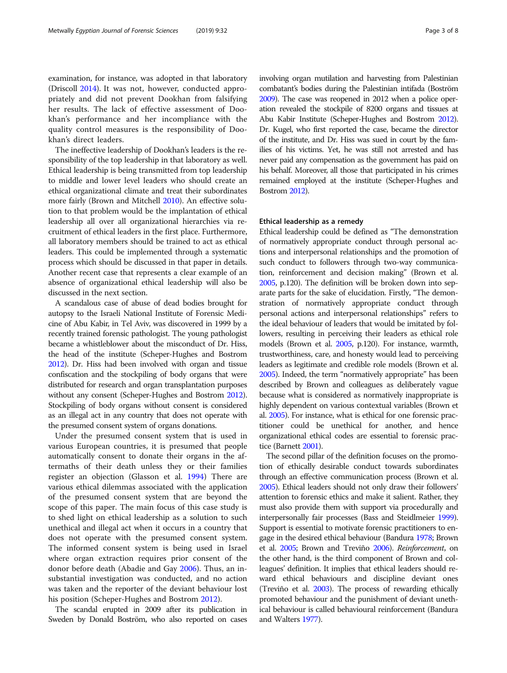examination, for instance, was adopted in that laboratory (Driscoll [2014](#page-6-0)). It was not, however, conducted appropriately and did not prevent Dookhan from falsifying her results. The lack of effective assessment of Dookhan's performance and her incompliance with the quality control measures is the responsibility of Dookhan's direct leaders.

The ineffective leadership of Dookhan's leaders is the responsibility of the top leadership in that laboratory as well. Ethical leadership is being transmitted from top leadership to middle and lower level leaders who should create an ethical organizational climate and treat their subordinates more fairly (Brown and Mitchell [2010\)](#page-6-0). An effective solution to that problem would be the implantation of ethical leadership all over all organizational hierarchies via recruitment of ethical leaders in the first place. Furthermore, all laboratory members should be trained to act as ethical leaders. This could be implemented through a systematic process which should be discussed in that paper in details. Another recent case that represents a clear example of an absence of organizational ethical leadership will also be discussed in the next section.

A scandalous case of abuse of dead bodies brought for autopsy to the Israeli National Institute of Forensic Medicine of Abu Kabir, in Tel Aviv, was discovered in 1999 by a recently trained forensic pathologist. The young pathologist became a whistleblower about the misconduct of Dr. Hiss, the head of the institute (Scheper-Hughes and Bostrom [2012\)](#page-7-0). Dr. Hiss had been involved with organ and tissue confiscation and the stockpiling of body organs that were distributed for research and organ transplantation purposes without any consent (Scheper-Hughes and Bostrom [2012](#page-7-0)). Stockpiling of body organs without consent is considered as an illegal act in any country that does not operate with the presumed consent system of organs donations.

Under the presumed consent system that is used in various European countries, it is presumed that people automatically consent to donate their organs in the aftermaths of their death unless they or their families register an objection (Glasson et al. [1994\)](#page-6-0) There are various ethical dilemmas associated with the application of the presumed consent system that are beyond the scope of this paper. The main focus of this case study is to shed light on ethical leadership as a solution to such unethical and illegal act when it occurs in a country that does not operate with the presumed consent system. The informed consent system is being used in Israel where organ extraction requires prior consent of the donor before death (Abadie and Gay [2006](#page-6-0)). Thus, an insubstantial investigation was conducted, and no action was taken and the reporter of the deviant behaviour lost his position (Scheper-Hughes and Bostrom [2012\)](#page-7-0).

The scandal erupted in 2009 after its publication in Sweden by Donald Boström, who also reported on cases involving organ mutilation and harvesting from Palestinian combatant's bodies during the Palestinian intifada (Boström [2009](#page-6-0)). The case was reopened in 2012 when a police operation revealed the stockpile of 8200 organs and tissues at Abu Kabir Institute (Scheper-Hughes and Bostrom [2012\)](#page-7-0). Dr. Kugel, who first reported the case, became the director of the institute, and Dr. Hiss was sued in court by the families of his victims. Yet, he was still not arrested and has never paid any compensation as the government has paid on his behalf. Moreover, all those that participated in his crimes remained employed at the institute (Scheper-Hughes and Bostrom [2012\)](#page-7-0).

#### Ethical leadership as a remedy

Ethical leadership could be defined as "The demonstration of normatively appropriate conduct through personal actions and interpersonal relationships and the promotion of such conduct to followers through two-way communication, reinforcement and decision making" (Brown et al. [2005,](#page-6-0) p.120). The definition will be broken down into separate parts for the sake of elucidation. Firstly, "The demonstration of normatively appropriate conduct through personal actions and interpersonal relationships" refers to the ideal behaviour of leaders that would be imitated by followers, resulting in perceiving their leaders as ethical role models (Brown et al. [2005](#page-6-0), p.120). For instance, warmth, trustworthiness, care, and honesty would lead to perceiving leaders as legitimate and credible role models (Brown et al. [2005\)](#page-6-0). Indeed, the term "normatively appropriate" has been described by Brown and colleagues as deliberately vague because what is considered as normatively inappropriate is highly dependent on various contextual variables (Brown et al. [2005\)](#page-6-0). For instance, what is ethical for one forensic practitioner could be unethical for another, and hence organizational ethical codes are essential to forensic practice (Barnett [2001](#page-6-0)).

The second pillar of the definition focuses on the promotion of ethically desirable conduct towards subordinates through an effective communication process (Brown et al. [2005\)](#page-6-0). Ethical leaders should not only draw their followers' attention to forensic ethics and make it salient. Rather, they must also provide them with support via procedurally and interpersonally fair processes (Bass and Steidlmeier [1999](#page-6-0)). Support is essential to motivate forensic practitioners to engage in the desired ethical behaviour (Bandura [1978;](#page-6-0) Brown et al. [2005;](#page-6-0) Brown and Treviño [2006\)](#page-6-0). Reinforcement, on the other hand, is the third component of Brown and colleagues' definition. It implies that ethical leaders should reward ethical behaviours and discipline deviant ones (Treviño et al. [2003](#page-7-0)). The process of rewarding ethically promoted behaviour and the punishment of deviant unethical behaviour is called behavioural reinforcement (Bandura and Walters [1977\)](#page-6-0).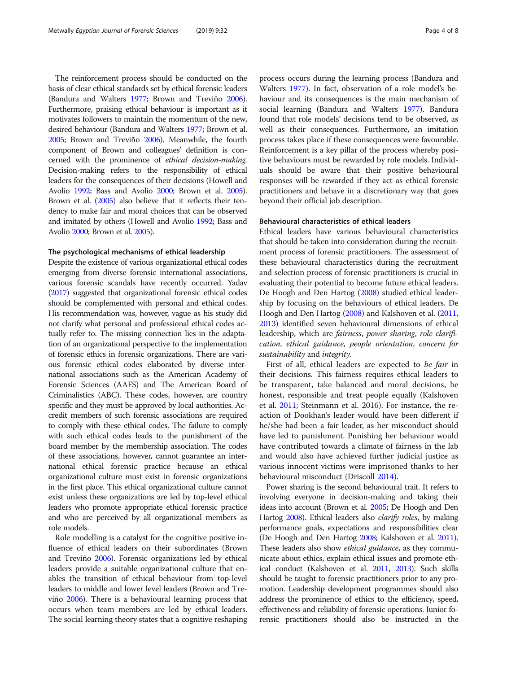The reinforcement process should be conducted on the basis of clear ethical standards set by ethical forensic leaders (Bandura and Walters [1977](#page-6-0); Brown and Treviño [2006](#page-6-0)). Furthermore, praising ethical behaviour is important as it motivates followers to maintain the momentum of the new, desired behaviour (Bandura and Walters [1977;](#page-6-0) Brown et al. [2005;](#page-6-0) Brown and Treviño [2006](#page-6-0)). Meanwhile, the fourth component of Brown and colleagues' definition is concerned with the prominence of ethical decision-making. Decision-making refers to the responsibility of ethical leaders for the consequences of their decisions (Howell and Avolio [1992;](#page-6-0) Bass and Avolio [2000](#page-6-0); Brown et al. [2005](#page-6-0)). Brown et al. [\(2005](#page-6-0)) also believe that it reflects their tendency to make fair and moral choices that can be observed and imitated by others (Howell and Avolio [1992;](#page-6-0) Bass and Avolio [2000](#page-6-0); Brown et al. [2005\)](#page-6-0).

#### The psychological mechanisms of ethical leadership

Despite the existence of various organizational ethical codes emerging from diverse forensic international associations, various forensic scandals have recently occurred. Yadav ([2017\)](#page-7-0) suggested that organizational forensic ethical codes should be complemented with personal and ethical codes. His recommendation was, however, vague as his study did not clarify what personal and professional ethical codes actually refer to. The missing connection lies in the adaptation of an organizational perspective to the implementation of forensic ethics in forensic organizations. There are various forensic ethical codes elaborated by diverse international associations such as the American Academy of Forensic Sciences (AAFS) and The American Board of Criminalistics (ABC). These codes, however, are country specific and they must be approved by local authorities. Accredit members of such forensic associations are required to comply with these ethical codes. The failure to comply with such ethical codes leads to the punishment of the board member by the membership association. The codes of these associations, however, cannot guarantee an international ethical forensic practice because an ethical organizational culture must exist in forensic organizations in the first place. This ethical organizational culture cannot exist unless these organizations are led by top-level ethical leaders who promote appropriate ethical forensic practice and who are perceived by all organizational members as role models.

Role modelling is a catalyst for the cognitive positive influence of ethical leaders on their subordinates (Brown and Treviño [2006](#page-6-0)). Forensic organizations led by ethical leaders provide a suitable organizational culture that enables the transition of ethical behaviour from top-level leaders to middle and lower level leaders (Brown and Treviño [2006](#page-6-0)). There is a behavioural learning process that occurs when team members are led by ethical leaders. The social learning theory states that a cognitive reshaping process occurs during the learning process (Bandura and Walters [1977](#page-6-0)). In fact, observation of a role model's behaviour and its consequences is the main mechanism of social learning (Bandura and Walters [1977](#page-6-0)). Bandura found that role models' decisions tend to be observed, as well as their consequences. Furthermore, an imitation process takes place if these consequences were favourable. Reinforcement is a key pillar of the process whereby positive behaviours must be rewarded by role models. Individuals should be aware that their positive behavioural responses will be rewarded if they act as ethical forensic practitioners and behave in a discretionary way that goes beyond their official job description.

#### Behavioural characteristics of ethical leaders

Ethical leaders have various behavioural characteristics that should be taken into consideration during the recruitment process of forensic practitioners. The assessment of these behavioural characteristics during the recruitment and selection process of forensic practitioners is crucial in evaluating their potential to become future ethical leaders. De Hoogh and Den Hartog [\(2008\)](#page-6-0) studied ethical leadership by focusing on the behaviours of ethical leaders. De Hoogh and Den Hartog ([2008](#page-6-0)) and Kalshoven et al. [\(2011](#page-6-0), [2013](#page-6-0)) identified seven behavioural dimensions of ethical leadership, which are fairness, power sharing, role clarification, ethical guidance, people orientation, concern for sustainability and integrity.

First of all, ethical leaders are expected to be fair in their decisions. This fairness requires ethical leaders to be transparent, take balanced and moral decisions, be honest, responsible and treat people equally (Kalshoven et al. [2011](#page-6-0); Steinmann et al. 2016). For instance, the reaction of Dookhan's leader would have been different if he/she had been a fair leader, as her misconduct should have led to punishment. Punishing her behaviour would have contributed towards a climate of fairness in the lab and would also have achieved further judicial justice as various innocent victims were imprisoned thanks to her behavioural misconduct (Driscoll [2014\)](#page-6-0).

Power sharing is the second behavioural trait. It refers to involving everyone in decision-making and taking their ideas into account (Brown et al. [2005](#page-6-0); De Hoogh and Den Hartog [2008](#page-6-0)). Ethical leaders also *clarify roles*, by making performance goals, expectations and responsibilities clear (De Hoogh and Den Hartog [2008;](#page-6-0) Kalshoven et al. [2011](#page-6-0)). These leaders also show ethical guidance, as they communicate about ethics, explain ethical issues and promote ethical conduct (Kalshoven et al. [2011,](#page-6-0) [2013](#page-6-0)). Such skills should be taught to forensic practitioners prior to any promotion. Leadership development programmes should also address the prominence of ethics to the efficiency, speed, effectiveness and reliability of forensic operations. Junior forensic practitioners should also be instructed in the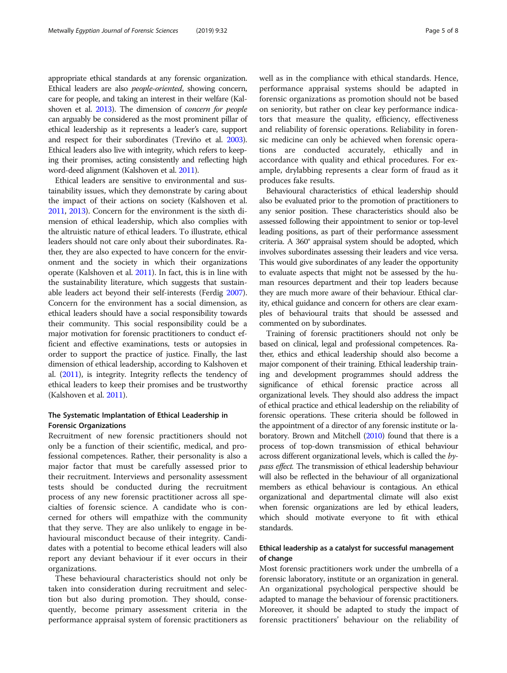appropriate ethical standards at any forensic organization. Ethical leaders are also people-oriented, showing concern, care for people, and taking an interest in their welfare (Kal-shoven et al. [2013](#page-6-0)). The dimension of *concern for people* can arguably be considered as the most prominent pillar of ethical leadership as it represents a leader's care, support and respect for their subordinates (Treviño et al. [2003](#page-7-0)). Ethical leaders also live with integrity, which refers to keeping their promises, acting consistently and reflecting high word-deed alignment (Kalshoven et al. [2011\)](#page-6-0).

Ethical leaders are sensitive to environmental and sustainability issues, which they demonstrate by caring about the impact of their actions on society (Kalshoven et al. [2011,](#page-6-0) [2013\)](#page-6-0). Concern for the environment is the sixth dimension of ethical leadership, which also complies with the altruistic nature of ethical leaders. To illustrate, ethical leaders should not care only about their subordinates. Rather, they are also expected to have concern for the environment and the society in which their organizations operate (Kalshoven et al. [2011](#page-6-0)). In fact, this is in line with the sustainability literature, which suggests that sustainable leaders act beyond their self-interests (Ferdig [2007](#page-6-0)). Concern for the environment has a social dimension, as ethical leaders should have a social responsibility towards their community. This social responsibility could be a major motivation for forensic practitioners to conduct efficient and effective examinations, tests or autopsies in order to support the practice of justice. Finally, the last dimension of ethical leadership, according to Kalshoven et al. [\(2011](#page-6-0)), is integrity. Integrity reflects the tendency of ethical leaders to keep their promises and be trustworthy (Kalshoven et al. [2011](#page-6-0)).

### The Systematic Implantation of Ethical Leadership in Forensic Organizations

Recruitment of new forensic practitioners should not only be a function of their scientific, medical, and professional competences. Rather, their personality is also a major factor that must be carefully assessed prior to their recruitment. Interviews and personality assessment tests should be conducted during the recruitment process of any new forensic practitioner across all specialties of forensic science. A candidate who is concerned for others will empathize with the community that they serve. They are also unlikely to engage in behavioural misconduct because of their integrity. Candidates with a potential to become ethical leaders will also report any deviant behaviour if it ever occurs in their organizations.

These behavioural characteristics should not only be taken into consideration during recruitment and selection but also during promotion. They should, consequently, become primary assessment criteria in the performance appraisal system of forensic practitioners as well as in the compliance with ethical standards. Hence, performance appraisal systems should be adapted in forensic organizations as promotion should not be based on seniority, but rather on clear key performance indicators that measure the quality, efficiency, effectiveness and reliability of forensic operations. Reliability in forensic medicine can only be achieved when forensic operations are conducted accurately, ethically and in accordance with quality and ethical procedures. For example, drylabbing represents a clear form of fraud as it produces fake results.

Behavioural characteristics of ethical leadership should also be evaluated prior to the promotion of practitioners to any senior position. These characteristics should also be assessed following their appointment to senior or top-level leading positions, as part of their performance assessment criteria. A 360° appraisal system should be adopted, which involves subordinates assessing their leaders and vice versa. This would give subordinates of any leader the opportunity to evaluate aspects that might not be assessed by the human resources department and their top leaders because they are much more aware of their behaviour. Ethical clarity, ethical guidance and concern for others are clear examples of behavioural traits that should be assessed and commented on by subordinates.

Training of forensic practitioners should not only be based on clinical, legal and professional competences. Rather, ethics and ethical leadership should also become a major component of their training. Ethical leadership training and development programmes should address the significance of ethical forensic practice across all organizational levels. They should also address the impact of ethical practice and ethical leadership on the reliability of forensic operations. These criteria should be followed in the appointment of a director of any forensic institute or laboratory. Brown and Mitchell [\(2010](#page-6-0)) found that there is a process of top-down transmission of ethical behaviour across different organizational levels, which is called the bypass effect. The transmission of ethical leadership behaviour will also be reflected in the behaviour of all organizational members as ethical behaviour is contagious. An ethical organizational and departmental climate will also exist when forensic organizations are led by ethical leaders, which should motivate everyone to fit with ethical standards.

# Ethical leadership as a catalyst for successful management of change

Most forensic practitioners work under the umbrella of a forensic laboratory, institute or an organization in general. An organizational psychological perspective should be adapted to manage the behaviour of forensic practitioners. Moreover, it should be adapted to study the impact of forensic practitioners' behaviour on the reliability of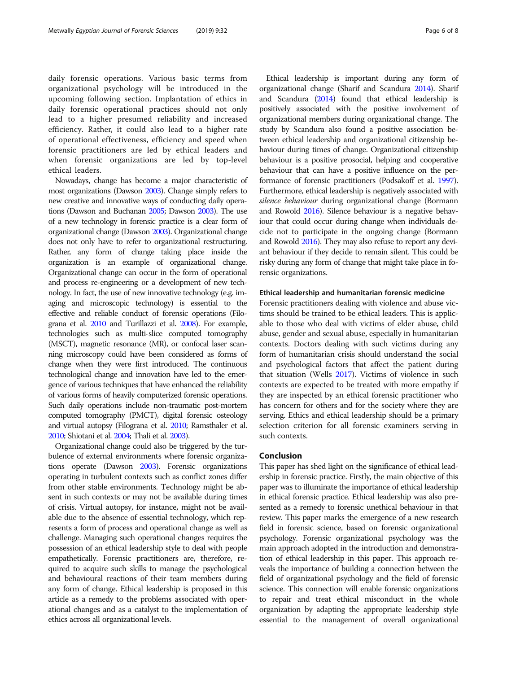daily forensic operations. Various basic terms from organizational psychology will be introduced in the upcoming following section. Implantation of ethics in daily forensic operational practices should not only lead to a higher presumed reliability and increased efficiency. Rather, it could also lead to a higher rate of operational effectiveness, efficiency and speed when forensic practitioners are led by ethical leaders and when forensic organizations are led by top-level ethical leaders.

Nowadays, change has become a major characteristic of most organizations (Dawson [2003](#page-6-0)). Change simply refers to new creative and innovative ways of conducting daily operations (Dawson and Buchanan [2005](#page-6-0); Dawson [2003\)](#page-6-0). The use of a new technology in forensic practice is a clear form of organizational change (Dawson [2003](#page-6-0)). Organizational change does not only have to refer to organizational restructuring. Rather, any form of change taking place inside the organization is an example of organizational change. Organizational change can occur in the form of operational and process re-engineering or a development of new technology. In fact, the use of new innovative technology (e.g. imaging and microscopic technology) is essential to the effective and reliable conduct of forensic operations (Filograna et al. [2010](#page-6-0) and Turillazzi et al. [2008](#page-7-0)). For example, technologies such as multi-slice computed tomography (MSCT), magnetic resonance (MR), or confocal laser scanning microscopy could have been considered as forms of change when they were first introduced. The continuous technological change and innovation have led to the emergence of various techniques that have enhanced the reliability of various forms of heavily computerized forensic operations. Such daily operations include non-traumatic post-mortem computed tomography (PMCT), digital forensic osteology and virtual autopsy (Filograna et al. [2010;](#page-6-0) Ramsthaler et al. [2010](#page-7-0); Shiotani et al. [2004](#page-7-0); Thali et al. [2003](#page-7-0)).

Organizational change could also be triggered by the turbulence of external environments where forensic organizations operate (Dawson [2003](#page-6-0)). Forensic organizations operating in turbulent contexts such as conflict zones differ from other stable environments. Technology might be absent in such contexts or may not be available during times of crisis. Virtual autopsy, for instance, might not be available due to the absence of essential technology, which represents a form of process and operational change as well as challenge. Managing such operational changes requires the possession of an ethical leadership style to deal with people empathetically. Forensic practitioners are, therefore, required to acquire such skills to manage the psychological and behavioural reactions of their team members during any form of change. Ethical leadership is proposed in this article as a remedy to the problems associated with operational changes and as a catalyst to the implementation of ethics across all organizational levels.

Ethical leadership is important during any form of organizational change (Sharif and Scandura [2014](#page-7-0)). Sharif and Scandura [\(2014](#page-7-0)) found that ethical leadership is positively associated with the positive involvement of organizational members during organizational change. The study by Scandura also found a positive association between ethical leadership and organizational citizenship behaviour during times of change. Organizational citizenship behaviour is a positive prosocial, helping and cooperative behaviour that can have a positive influence on the performance of forensic practitioners (Podsakoff et al. [1997](#page-6-0)). Furthermore, ethical leadership is negatively associated with silence behaviour during organizational change (Bormann and Rowold [2016\)](#page-6-0). Silence behaviour is a negative behaviour that could occur during change when individuals decide not to participate in the ongoing change (Bormann and Rowold [2016\)](#page-6-0). They may also refuse to report any deviant behaviour if they decide to remain silent. This could be risky during any form of change that might take place in forensic organizations.

#### Ethical leadership and humanitarian forensic medicine

Forensic practitioners dealing with violence and abuse victims should be trained to be ethical leaders. This is applicable to those who deal with victims of elder abuse, child abuse, gender and sexual abuse, especially in humanitarian contexts. Doctors dealing with such victims during any form of humanitarian crisis should understand the social and psychological factors that affect the patient during that situation (Wells [2017\)](#page-7-0). Victims of violence in such contexts are expected to be treated with more empathy if they are inspected by an ethical forensic practitioner who has concern for others and for the society where they are serving. Ethics and ethical leadership should be a primary selection criterion for all forensic examiners serving in such contexts.

#### Conclusion

This paper has shed light on the significance of ethical leadership in forensic practice. Firstly, the main objective of this paper was to illuminate the importance of ethical leadership in ethical forensic practice. Ethical leadership was also presented as a remedy to forensic unethical behaviour in that review. This paper marks the emergence of a new research field in forensic science, based on forensic organizational psychology. Forensic organizational psychology was the main approach adopted in the introduction and demonstration of ethical leadership in this paper. This approach reveals the importance of building a connection between the field of organizational psychology and the field of forensic science. This connection will enable forensic organizations to repair and treat ethical misconduct in the whole organization by adapting the appropriate leadership style essential to the management of overall organizational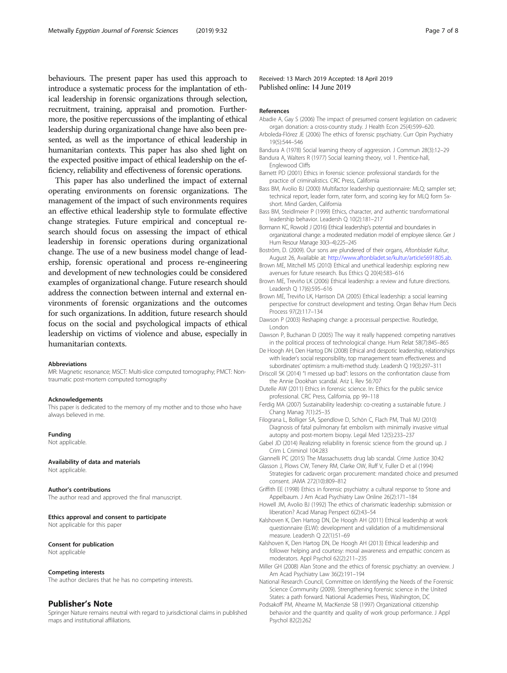<span id="page-6-0"></span>behaviours. The present paper has used this approach to introduce a systematic process for the implantation of ethical leadership in forensic organizations through selection, recruitment, training, appraisal and promotion. Furthermore, the positive repercussions of the implanting of ethical leadership during organizational change have also been presented, as well as the importance of ethical leadership in humanitarian contexts. This paper has also shed light on the expected positive impact of ethical leadership on the efficiency, reliability and effectiveness of forensic operations.

This paper has also underlined the impact of external operating environments on forensic organizations. The management of the impact of such environments requires an effective ethical leadership style to formulate effective change strategies. Future empirical and conceptual research should focus on assessing the impact of ethical leadership in forensic operations during organizational change. The use of a new business model change of leadership, forensic operational and process re-engineering and development of new technologies could be considered examples of organizational change. Future research should address the connection between internal and external environments of forensic organizations and the outcomes for such organizations. In addition, future research should focus on the social and psychological impacts of ethical leadership on victims of violence and abuse, especially in humanitarian contexts.

#### Abbreviations

MR: Magnetic resonance; MSCT: Multi-slice computed tomography; PMCT: Nontraumatic post-mortem computed tomography

#### Acknowledgements

This paper is dedicated to the memory of my mother and to those who have always believed in me.

#### Funding

Not applicable.

#### Availability of data and materials

Not applicable.

Author's contributions The author read and approved the final manuscript.

#### Ethics approval and consent to participate

Not applicable for this paper

#### Consent for publication

Not applicable

#### Competing interests

The author declares that he has no competing interests.

#### Publisher's Note

Springer Nature remains neutral with regard to jurisdictional claims in published maps and institutional affiliations.

Received: 13 March 2019 Accepted: 18 April 2019 Published online: 14 June 2019

#### References

- Abadie A, Gay S (2006) The impact of presumed consent legislation on cadaveric organ donation: a cross-country study. J Health Econ 25(4):599–620.
- Arboleda-Flórez JE (2006) The ethics of forensic psychiatry. Curr Opin Psychiatry 19(5):544–546
- Bandura A (1978) Social learning theory of aggression. J Commun 28(3):12–29 Bandura A, Walters R (1977) Social learning theory, vol 1. Prentice-hall,
- Englewood Cliffs Barnett PD (2001) Ethics in forensic science: professional standards for the
- practice of criminalistics. CRC Press, California
- Bass BM, Avolio BJ (2000) Multifactor leadership questionnaire: MLQ; sampler set; technical report, leader form, rater form, and scoring key for MLQ form 5xshort. Mind Garden, California
- Bass BM, Steidlmeier P (1999) Ethics, character, and authentic transformational leadership behavior. Leadersh Q 10(2):181–217
- Bormann KC, Rowold J (2016) Ethical leadership's potential and boundaries in organizational change: a moderated mediation model of employee silence. Ger J Hum Resour Manage 30(3–4):225–245
- Boström, D. (2009). Our sons are plundered of their organs, Aftonbladet Kultur, August 26, Available at: [http://www.aftonbladet.se/kultur/article5691805.ab.](http://www.aftonbladet.se/kultur/article5691805.ab)
- Brown ME, Mitchell MS (2010) Ethical and unethical leadership: exploring new avenues for future research. Bus Ethics Q 20(4):583–616
- Brown ME, Treviño LK (2006) Ethical leadership: a review and future directions. Leadersh Q 17(6):595–616
- Brown ME, Treviño LK, Harrison DA (2005) Ethical leadership: a social learning perspective for construct development and testing. Organ Behav Hum Decis Process 97(2):117–134
- Dawson P (2003) Reshaping change: a processual perspective. Routledge, London
- Dawson P, Buchanan D (2005) The way it really happened: competing narratives in the political process of technological change. Hum Relat 58(7):845–865
- De Hoogh AH, Den Hartog DN (2008) Ethical and despotic leadership, relationships with leader's social responsibility, top management team effectiveness and subordinates' optimism: a multi-method study. Leadersh Q 19(3):297–311
- Driscoll SK (2014) "I messed up bad": lessons on the confrontation clause from the Annie Dookhan scandal. Ariz L Rev 56:707
- Dutelle AW (2011) Ethics in forensic science. In: Ethics for the public service professional. CRC Press, California, pp 99–118
- Ferdig MA (2007) Sustainability leadership: co-creating a sustainable future. J Chang Manag 7(1):25–35
- Filograna L, Bolliger SA, Spendlove D, Schön C, Flach PM, Thali MJ (2010) Diagnosis of fatal pulmonary fat embolism with minimally invasive virtual autopsy and post-mortem biopsy. Legal Med 12(5):233–237
- Gabel JD (2014) Realizing reliability in forensic science from the ground up. J Crim L Criminol 104:283
- Giannelli PC (2015) The Massachusetts drug lab scandal. Crime Justice 30:42

Glasson J, Plows CW, Tenery RM, Clarke OW, Ruff V, Fuller D et al (1994) Strategies for cadaveric organ procurement: mandated choice and presumed consent. JAMA 272(10):809–812

- Griffith EE (1998) Ethics in forensic psychiatry: a cultural response to Stone and Appelbaum. J Am Acad Psychiatry Law Online 26(2):171–184
- Howell JM, Avolio BJ (1992) The ethics of charismatic leadership: submission or liberation? Acad Manag Perspect 6(2):43–54
- Kalshoven K, Den Hartog DN, De Hoogh AH (2011) Ethical leadership at work questionnaire (ELW): development and validation of a multidimensional measure. Leadersh Q 22(1):51–69
- Kalshoven K, Den Hartog DN, De Hoogh AH (2013) Ethical leadership and follower helping and courtesy: moral awareness and empathic concern as moderators. Appl Psychol 62(2):211–235
- Miller GH (2008) Alan Stone and the ethics of forensic psychiatry: an overview. J Am Acad Psychiatry Law 36(2):191–194
- National Research Council, Committee on Identifying the Needs of the Forensic Science Community (2009). Strengthening forensic science in the United States: a path forward. National Academies Press, Washington, DC
- Podsakoff PM, Ahearne M, MacKenzie SB (1997) Organizational citizenship behavior and the quantity and quality of work group performance. J Appl Psychol 82(2):262